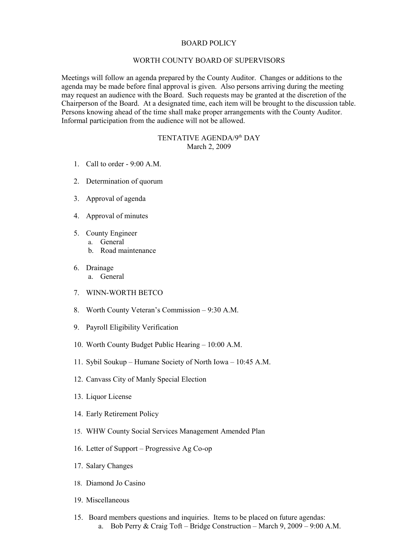## BOARD POLICY

## WORTH COUNTY BOARD OF SUPERVISORS

Meetings will follow an agenda prepared by the County Auditor. Changes or additions to the agenda may be made before final approval is given. Also persons arriving during the meeting may request an audience with the Board. Such requests may be granted at the discretion of the Chairperson of the Board. At a designated time, each item will be brought to the discussion table. Persons knowing ahead of the time shall make proper arrangements with the County Auditor. Informal participation from the audience will not be allowed.

## TENTATIVE AGENDA/9<sup>th</sup> DAY March 2, 2009

- 1. Call to order 9:00 A.M.
- 2. Determination of quorum
- 3. Approval of agenda
- 4. Approval of minutes
- 5. County Engineer
	- a. General
	- b. Road maintenance
- 6. Drainage
	- a. General
- 7. WINN-WORTH BETCO
- 8. Worth County Veteran's Commission 9:30 A.M.
- 9. Payroll Eligibility Verification
- 10. Worth County Budget Public Hearing 10:00 A.M.
- 11. Sybil Soukup Humane Society of North Iowa 10:45 A.M.
- 12. Canvass City of Manly Special Election
- 13. Liquor License
- 14. Early Retirement Policy
- 15. WHW County Social Services Management Amended Plan
- 16. Letter of Support Progressive Ag Co-op
- 17. Salary Changes
- 18. Diamond Jo Casino
- 19. Miscellaneous
- 15. Board members questions and inquiries. Items to be placed on future agendas: a. Bob Perry & Craig Toft – Bridge Construction – March 9, 2009 – 9:00 A.M.